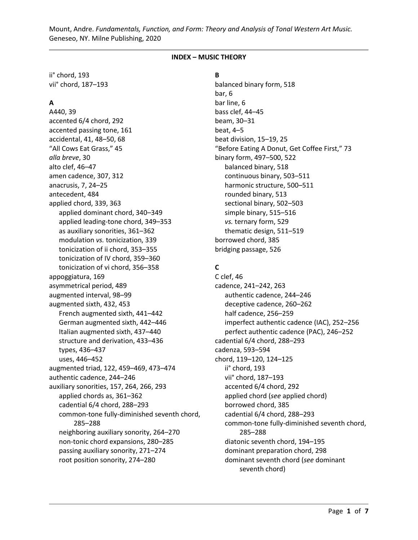#### **INDEX – MUSIC THEORY**

ii° chord, 193 vii° chord, 187–193

#### **A**

A440, 39 accented 6/4 chord, 292 accented passing tone, 161 accidental, 41, 48–50, 68 "All Cows Eat Grass," 45 *alla breve*, 30 alto clef, 46–47 amen cadence, 307, 312 anacrusis, 7, 24–25 antecedent, 484 applied chord, 339, 363 applied dominant chord, 340–349 applied leading-tone chord, 349–353 as auxiliary sonorities, 361–362 modulation *vs.* tonicization, 339 tonicization of ii chord, 353–355 tonicization of IV chord, 359–360 tonicization of vi chord, 356–358 appoggiatura, 169 asymmetrical period, 489 augmented interval, 98–99 augmented sixth, 432, 453 French augmented sixth, 441–442 German augmented sixth, 442–446 Italian augmented sixth, 437–440 structure and derivation, 433–436 types, 436–437 uses, 446–452 augmented triad, 122, 459–469, 473–474 authentic cadence, 244–246 auxiliary sonorities, 157, 264, 266, 293 applied chords as, 361–362 cadential 6/4 chord, 288–293 common-tone fully-diminished seventh chord, 285–288 neighboring auxiliary sonority, 264–270 non-tonic chord expansions, 280–285 passing auxiliary sonority, 271–274 root position sonority, 274–280

**B**

balanced binary form, 518 bar, 6 bar line, 6 bass clef, 44–45 beam, 30–31 beat, 4–5 beat division, 15–19, 25 "Before Eating A Donut, Get Coffee First," 73 binary form, 497–500, 522 balanced binary, 518 continuous binary, 503–511 harmonic structure, 500–511 rounded binary, 513 sectional binary, 502–503 simple binary, 515–516 *vs.* ternary form, 529 thematic design, 511–519 borrowed chord, 385 bridging passage, 526

### **C**

C clef, 46 cadence, 241–242, 263 authentic cadence, 244–246 deceptive cadence, 260–262 half cadence, 256–259 imperfect authentic cadence (IAC), 252–256 perfect authentic cadence (PAC), 246–252 cadential 6/4 chord, 288–293 cadenza, 593–594 chord, 119–120, 124–125 ii° chord, 193 vii° chord, 187–193 accented 6/4 chord, 292 applied chord (*see* applied chord) borrowed chord, 385 cadential 6/4 chord, 288–293 common-tone fully-diminished seventh chord, 285–288 diatonic seventh chord, 194–195 dominant preparation chord, 298 dominant seventh chord (*see* dominant seventh chord)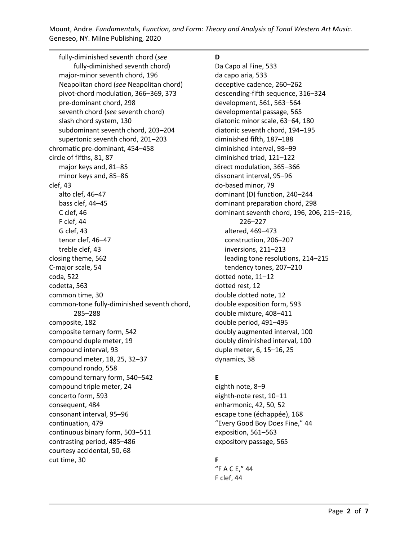fully-diminished seventh chord (*see* fully-diminished seventh chord) major-minor seventh chord, 196 Neapolitan chord (*see* Neapolitan chord) pivot-chord modulation, 366–369, 373 pre-dominant chord, 298 seventh chord (*see* seventh chord) slash chord system, 130 subdominant seventh chord, 203–204 supertonic seventh chord, 201–203 chromatic pre-dominant, 454–458 circle of fifths, 81, 87 major keys and, 81–85 minor keys and, 85–86 clef, 43 alto clef, 46–47 bass clef, 44–45 C clef, 46 F clef, 44 G clef, 43 tenor clef, 46–47 treble clef, 43 closing theme, 562 C-major scale, 54 coda, 522 codetta, 563 common time, 30 common-tone fully-diminished seventh chord, 285–288 composite, 182 composite ternary form, 542 compound duple meter, 19 compound interval, 93 compound meter, 18, 25, 32–37 compound rondo, 558 compound ternary form, 540–542 compound triple meter, 24 concerto form, 593 consequent, 484 consonant interval, 95–96 continuation, 479 continuous binary form, 503–511 contrasting period, 485–486 courtesy accidental, 50, 68 cut time, 30

## **D**

Da Capo al Fine, 533 da capo aria, 533 deceptive cadence, 260–262 descending-fifth sequence, 316–324 development, 561, 563–564 developmental passage, 565 diatonic minor scale, 63–64, 180 diatonic seventh chord, 194–195 diminished fifth, 187–188 diminished interval, 98–99 diminished triad, 121–122 direct modulation, 365–366 dissonant interval, 95–96 do-based minor, 79 dominant (D) function, 240–244 dominant preparation chord, 298 dominant seventh chord, 196, 206, 215–216, 226–227 altered, 469–473 construction, 206–207 inversions, 211–213 leading tone resolutions, 214–215 tendency tones, 207–210 dotted note, 11–12 dotted rest, 12 double dotted note, 12 double exposition form, 593 double mixture, 408–411 double period, 491–495 doubly augmented interval, 100 doubly diminished interval, 100 duple meter, 6, 15–16, 25 dynamics, 38

## **E**

eighth note, 8–9 eighth-note rest, 10–11 enharmonic, 42, 50, 52 escape tone (échappée), 168 "Every Good Boy Does Fine," 44 exposition, 561–563 expository passage, 565

# **F**

"F A C E," 44 F clef, 44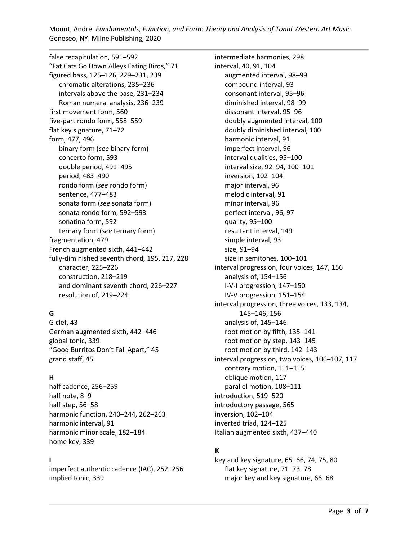false recapitulation, 591–592 "Fat Cats Go Down Alleys Eating Birds," 71 figured bass, 125–126, 229–231, 239 chromatic alterations, 235–236 intervals above the base, 231–234 Roman numeral analysis, 236–239 first movement form, 560 five-part rondo form, 558–559 flat key signature, 71–72 form, 477, 496 binary form (*see* binary form) concerto form, 593 double period, 491–495 period, 483–490 rondo form (*see* rondo form) sentence, 477–483 sonata form (*see* sonata form) sonata rondo form, 592–593 sonatina form, 592 ternary form (*see* ternary form) fragmentation, 479 French augmented sixth, 441–442 fully-diminished seventh chord, 195, 217, 228 character, 225–226 construction, 218–219 and dominant seventh chord, 226–227 resolution of, 219–224

# **G**

G clef, 43 German augmented sixth, 442–446 global tonic, 339 "Good Burritos Don't Fall Apart," 45 grand staff, 45

## **H**

half cadence, 256–259 half note, 8–9 half step, 56–58 harmonic function, 240–244, 262–263 harmonic interval, 91 harmonic minor scale, 182–184 home key, 339

### **I**

imperfect authentic cadence (IAC), 252–256 implied tonic, 339

intermediate harmonies, 298 interval, 40, 91, 104 augmented interval, 98–99 compound interval, 93 consonant interval, 95–96 diminished interval, 98–99 dissonant interval, 95–96 doubly augmented interval, 100 doubly diminished interval, 100 harmonic interval, 91 imperfect interval, 96 interval qualities, 95–100 interval size, 92–94, 100–101 inversion, 102–104 major interval, 96 melodic interval, 91 minor interval, 96 perfect interval, 96, 97 quality, 95–100 resultant interval, 149 simple interval, 93 size, 91–94 size in semitones, 100–101 interval progression, four voices, 147, 156 analysis of, 154–156 I-V-I progression, 147–150 IV-V progression, 151–154 interval progression, three voices, 133, 134, 145–146, 156 analysis of, 145–146 root motion by fifth, 135–141 root motion by step, 143–145 root motion by third, 142–143 interval progression, two voices, 106–107, 117 contrary motion, 111–115 oblique motion, 117 parallel motion, 108–111 introduction, 519–520 introductory passage, 565 inversion, 102–104 inverted triad, 124–125 Italian augmented sixth, 437–440

## **K**

key and key signature, 65–66, 74, 75, 80 flat key signature, 71–73, 78 major key and key signature, 66–68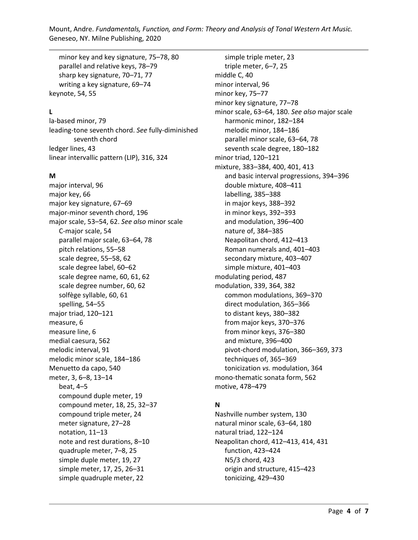minor key and key signature, 75–78, 80 parallel and relative keys, 78–79 sharp key signature, 70–71, 77 writing a key signature, 69–74 keynote, 54, 55

### **L**

la-based minor, 79 leading-tone seventh chord. *See* fully-diminished seventh chord ledger lines, 43 linear intervallic pattern (LIP), 316, 324

#### **M**

major interval, 96 major key, 66 major key signature, 67–69 major-minor seventh chord, 196 major scale, 53–54, 62. *See also* minor scale C-major scale, 54 parallel major scale, 63–64, 78 pitch relations, 55–58 scale degree, 55–58, 62 scale degree label, 60–62 scale degree name, 60, 61, 62 scale degree number, 60, 62 solfège syllable, 60, 61 spelling, 54–55 major triad, 120–121 measure, 6 measure line, 6 medial caesura, 562 melodic interval, 91 melodic minor scale, 184–186 Menuetto da capo, 540 meter, 3, 6–8, 13–14 beat, 4–5 compound duple meter, 19 compound meter, 18, 25, 32–37 compound triple meter, 24 meter signature, 27–28 notation, 11–13 note and rest durations, 8–10 quadruple meter, 7–8, 25 simple duple meter, 19, 27 simple meter, 17, 25, 26–31 simple quadruple meter, 22

simple triple meter, 23 triple meter, 6–7, 25 middle C, 40 minor interval, 96 minor key, 75–77 minor key signature, 77–78 minor scale, 63–64, 180. *See also* major scale harmonic minor, 182–184 melodic minor, 184–186 parallel minor scale, 63–64, 78 seventh scale degree, 180–182 minor triad, 120–121 mixture, 383–384, 400, 401, 413 and basic interval progressions, 394–396 double mixture, 408–411 labelling, 385–388 in major keys, 388–392 in minor keys, 392–393 and modulation, 396–400 nature of, 384–385 Neapolitan chord, 412–413 Roman numerals and, 401–403 secondary mixture, 403–407 simple mixture, 401–403 modulating period, 487 modulation, 339, 364, 382 common modulations, 369–370 direct modulation, 365–366 to distant keys, 380–382 from major keys, 370–376 from minor keys, 376–380 and mixture, 396–400 pivot-chord modulation, 366–369, 373 techniques of, 365–369 tonicization *vs.* modulation, 364 mono-thematic sonata form, 562 motive, 478–479

## **N**

Nashville number system, 130 natural minor scale, 63–64, 180 natural triad, 122–124 Neapolitan chord, 412–413, 414, 431 function, 423–424 N5/3 chord, 423 origin and structure, 415–423 tonicizing, 429–430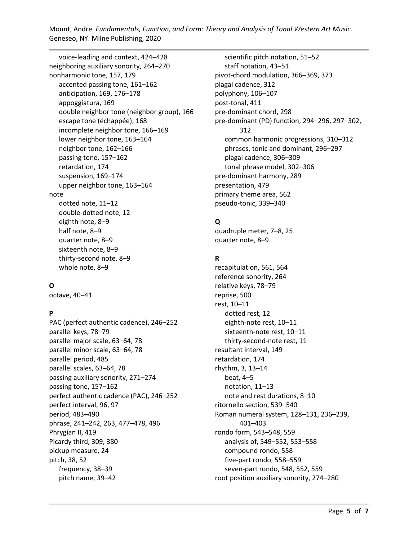voice-leading and context, 424–428 neighboring auxiliary sonority, 264–270 nonharmonic tone, 157, 179 accented passing tone, 161–162 anticipation, 169, 176–178 appoggiatura, 169 double neighbor tone (neighbor group), 166 escape tone (échappée), 168 incomplete neighbor tone, 166–169 lower neighbor tone, 163–164 neighbor tone, 162–166 passing tone, 157–162 retardation, 174 suspension, 169–174 upper neighbor tone, 163–164 note dotted note, 11–12 double-dotted note, 12 eighth note, 8–9 half note, 8–9 quarter note, 8–9 sixteenth note, 8–9 thirty-second note, 8–9 whole note, 8–9

## **O**

octave, 40–41

## **P**

PAC (perfect authentic cadence), 246–252 parallel keys, 78–79 parallel major scale, 63–64, 78 parallel minor scale, 63–64, 78 parallel period, 485 parallel scales, 63–64, 78 passing auxiliary sonority, 271–274 passing tone, 157–162 perfect authentic cadence (PAC), 246–252 perfect interval, 96, 97 period, 483–490 phrase, 241–242, 263, 477–478, 496 Phrygian II, 419 Picardy third, 309, 380 pickup measure, 24 pitch, 38, 52 frequency, 38–39 pitch name, 39–42

scientific pitch notation, 51–52 staff notation, 43–51 pivot-chord modulation, 366–369, 373 plagal cadence, 312 polyphony, 106–107 post-tonal, 411 pre-dominant chord, 298 pre-dominant (PD) function, 294–296, 297–302, 312 common harmonic progressions, 310–312 phrases, tonic and dominant, 296–297 plagal cadence, 306–309 tonal phrase model, 302–306 pre-dominant harmony, 289 presentation, 479 primary theme area, 562 pseudo-tonic, 339–340

# **Q**

quadruple meter, 7–8, 25 quarter note, 8–9

### **R**

recapitulation, 561, 564 reference sonority, 264 relative keys, 78–79 reprise, 500 rest, 10–11 dotted rest, 12 eighth-note rest, 10–11 sixteenth-note rest, 10–11 thirty-second-note rest, 11 resultant interval, 149 retardation, 174 rhythm, 3, 13–14 beat, 4–5 notation, 11–13 note and rest durations, 8–10 ritornello section, 539–540 Roman numeral system, 128–131, 236–239, 401–403 rondo form, 543–548, 559 analysis of, 549–552, 553–558 compound rondo, 558 five-part rondo, 558–559 seven-part rondo, 548, 552, 559 root position auxiliary sonority, 274–280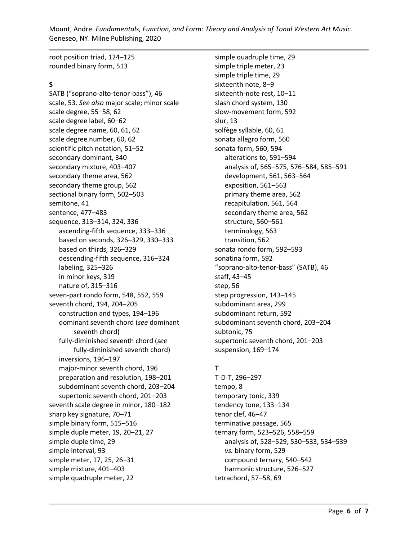root position triad, 124–125 rounded binary form, 513

#### **S**

SATB ("soprano-alto-tenor-bass"), 46 scale, 53. *See also* major scale; minor scale scale degree, 55–58, 62 scale degree label, 60–62 scale degree name, 60, 61, 62 scale degree number, 60, 62 scientific pitch notation, 51–52 secondary dominant, 340 secondary mixture, 403–407 secondary theme area, 562 secondary theme group, 562 sectional binary form, 502–503 semitone, 41 sentence, 477–483 sequence, 313–314, 324, 336 ascending-fifth sequence, 333–336 based on seconds, 326–329, 330–333 based on thirds, 326–329 descending-fifth sequence, 316–324 labeling, 325–326 in minor keys, 319 nature of, 315–316 seven-part rondo form, 548, 552, 559 seventh chord, 194, 204–205 construction and types, 194–196 dominant seventh chord (*see* dominant seventh chord) fully-diminished seventh chord (*see* fully-diminished seventh chord) inversions, 196–197 major-minor seventh chord, 196 preparation and resolution, 198–201 subdominant seventh chord, 203–204 supertonic seventh chord, 201–203 seventh scale degree in minor, 180–182 sharp key signature, 70–71 simple binary form, 515–516 simple duple meter, 19, 20–21, 27 simple duple time, 29 simple interval, 93 simple meter, 17, 25, 26–31 simple mixture, 401–403 simple quadruple meter, 22

simple quadruple time, 29 simple triple meter, 23 simple triple time, 29 sixteenth note, 8–9 sixteenth-note rest, 10–11 slash chord system, 130 slow-movement form, 592 slur, 13 solfège syllable, 60, 61 sonata allegro form, 560 sonata form, 560, 594 alterations to, 591–594 analysis of, 565–575, 576–584, 585–591 development, 561, 563–564 exposition, 561–563 primary theme area, 562 recapitulation, 561, 564 secondary theme area, 562 structure, 560–561 terminology, 563 transition, 562 sonata rondo form, 592–593 sonatina form, 592 "soprano-alto-tenor-bass" (SATB), 46 staff, 43–45 step, 56 step progression, 143–145 subdominant area, 299 subdominant return, 592 subdominant seventh chord, 203–204 subtonic, 75 supertonic seventh chord, 201–203 suspension, 169–174

### **T**

T-D-T, 296–297 tempo, 8 temporary tonic, 339 tendency tone, 133–134 tenor clef, 46–47 terminative passage, 565 ternary form, 523–526, 558–559 analysis of, 528–529, 530–533, 534–539 *vs.* binary form, 529 compound ternary, 540–542 harmonic structure, 526–527 tetrachord, 57–58, 69